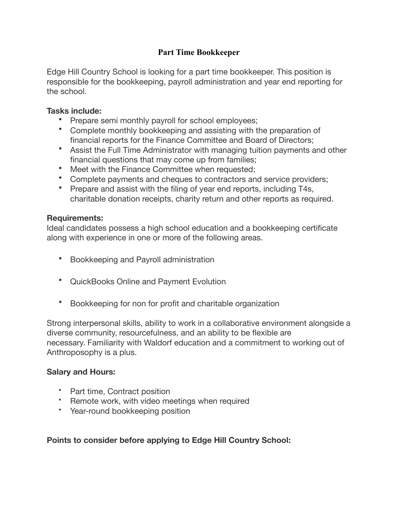# **Part Time Bookkeeper**

Edge Hill Country School is looking for a part time bookkeeper. This position is responsible for the bookkeeping, payroll administration and year end reporting for the school.

# **Tasks include:**

- Prepare semi monthly payroll for school employees;
- Complete monthly bookkeeping and assisting with the preparation of financial reports for the Finance Committee and Board of Directors;
- Assist the Full Time Administrator with managing tuition payments and other financial questions that may come up from families;
- Meet with the Finance Committee when requested:
- Complete payments and cheques to contractors and service providers;
- Prepare and assist with the filing of year end reports, including T4s, charitable donation receipts, charity return and other reports as required.

### **Requirements:**

Ideal candidates possess a high school education and a bookkeeping certificate along with experience in one or more of the following areas.

- Bookkeeping and Payroll administration
- QuickBooks Online and Payment Evolution
- Bookkeeping for non for profit and charitable organization

Strong interpersonal skills, ability to work in a collaborative environment alongside a diverse community, resourcefulness, and an ability to be flexible are necessary. Familiarity with Waldorf education and a commitment to working out of Anthroposophy is a plus.

# **Salary and Hours:**

- Part time, Contract position
- Remote work, with video meetings when required
- Year-round bookkeeping position

# **Points to consider before applying to Edge Hill Country School:**